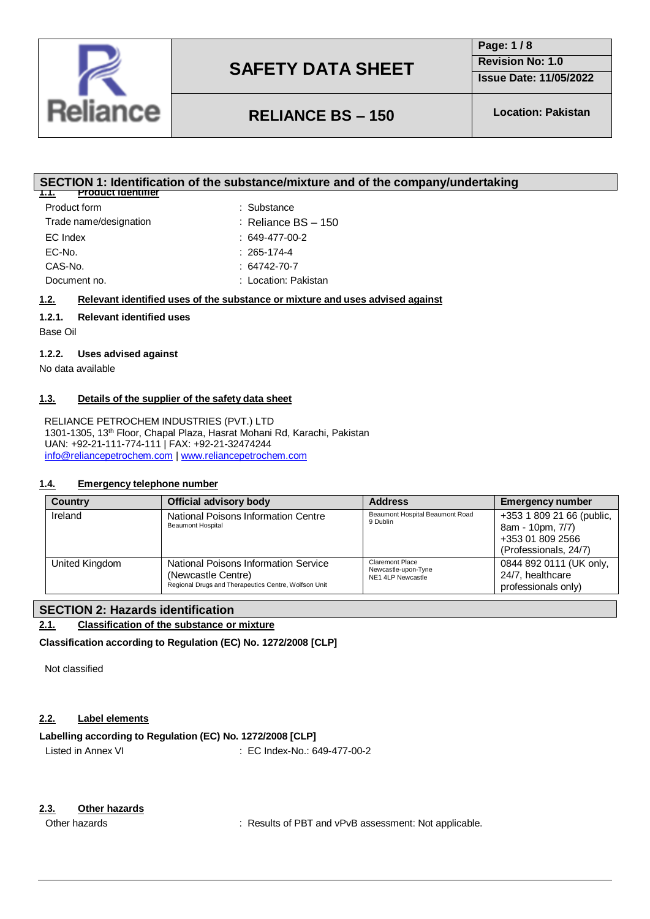

**Page: 1 / 8 Revision No: 1.0**

**Issue Date: 11/05/2022**

# **RELIANCE BS – 150 Location: Pakistan**

### **SECTION 1: Identification of the substance/mixture and of the company/undertaking**

| Product identifier<br>1.1. |                         |
|----------------------------|-------------------------|
| Product form               | : Substance             |
| Trade name/designation     | $:$ Reliance BS $-$ 150 |
| EC Index                   | $: 649-477-00-2$        |
| EC-No.                     | $: 265 - 174 - 4$       |
| CAS-No.                    | $: 64742 - 70 - 7$      |
| Document no.               | : Location: Pakistan    |

#### **1.2. Relevant identified uses of the substance or mixture and uses advised against**

#### **1.2.1. Relevant identified uses**

Base Oil

#### **1.2.2. Uses advised against**

No data available

#### **1.3. Details of the supplier of the safety data sheet**

RELIANCE PETROCHEM INDUSTRIES (PVT.) LTD 1301-1305, 13th Floor, Chapal Plaza, Hasrat Mohani Rd, Karachi, Pakistan UAN: +92-21-111-774-111 | FAX: +92-21-32474244 [info@reliancepetrochem.com](mailto:info@reliancepetrochem.com) [| www.reliancepetrochem.com](http://www.reliancepetrochem.com/)

#### **1.4. Emergency telephone number**

| <b>Country</b> | <b>Official advisory body</b>                                                                                      | <b>Address</b>                                              | <b>Emergency number</b>                                                                    |
|----------------|--------------------------------------------------------------------------------------------------------------------|-------------------------------------------------------------|--------------------------------------------------------------------------------------------|
| Ireland        | National Poisons Information Centre<br><b>Beaumont Hospital</b>                                                    | Beaumont Hospital Beaumont Road<br>9 Dublin                 | +353 1 809 21 66 (public,<br>8am - 10pm, 7/7)<br>+353 01 809 2566<br>(Professionals, 24/7) |
| United Kingdom | National Poisons Information Service<br>(Newcastle Centre)<br>Regional Drugs and Therapeutics Centre, Wolfson Unit | Claremont Place<br>Newcastle-upon-Tyne<br>NE1 4LP Newcastle | 0844 892 0111 (UK only,<br>24/7. healthcare<br>professionals only)                         |

### **SECTION 2: Hazards identification**

#### **2.1. Classification of the substance or mixture**

**Classification according to Regulation (EC) No. 1272/2008 [CLP]**

Not classified

#### **2.2. Label elements**

#### **Labelling according to Regulation (EC) No. 1272/2008 [CLP]**

Listed in Annex VI **EC Index-No.: 649-477-00-2** 

#### **2.3. Other hazards**

Other hazards **in the substantial in the set of PBT** and vPvB assessment: Not applicable.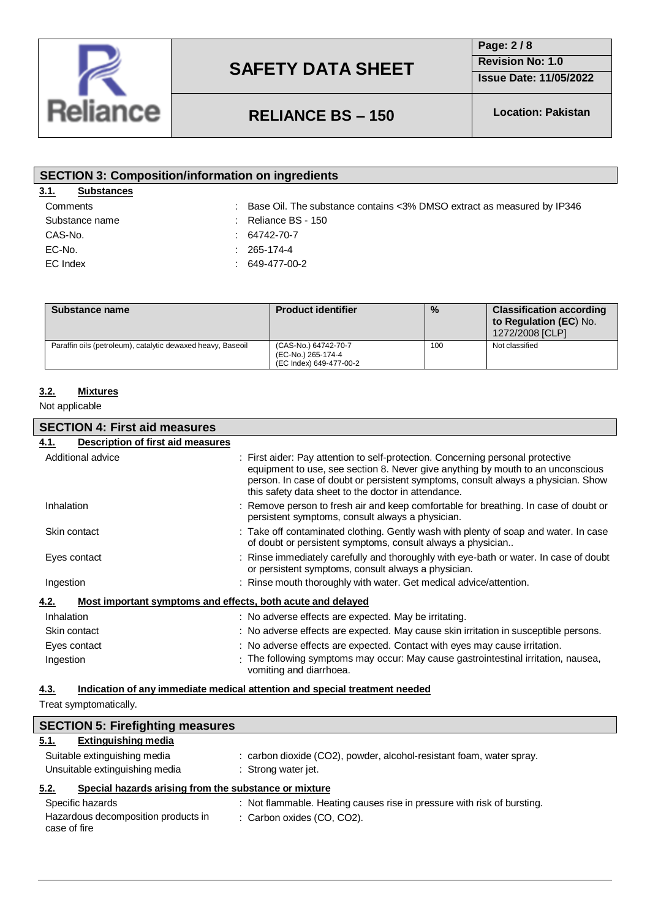

**Page: 2 / 8**

**Revision No: 1.0**

**Issue Date: 11/05/2022**

## **RELIANCE BS – 150 Location: Pakistan**

| <b>SECTION 3: Composition/information on ingredients</b> |                                                                                      |  |  |
|----------------------------------------------------------|--------------------------------------------------------------------------------------|--|--|
| 3.1.<br><b>Substances</b>                                |                                                                                      |  |  |
| Comments                                                 | $\therefore$ Base Oil. The substance contains < 3% DMSO extract as measured by IP346 |  |  |
| Substance name                                           | $\therefore$ Reliance BS - 150                                                       |  |  |
| CAS-No.                                                  | $: 64742 - 70 - 7$                                                                   |  |  |
| EC-No.                                                   | $: 265 - 174 - 4$                                                                    |  |  |
| EC Index                                                 | $: 649-477-00-2$                                                                     |  |  |
|                                                          |                                                                                      |  |  |
|                                                          |                                                                                      |  |  |

| Substance name                                              | <b>Product identifier</b>                                             | $\frac{9}{6}$ | <b>Classification according</b><br>to Regulation (EC) No.<br>1272/2008 [CLP] |
|-------------------------------------------------------------|-----------------------------------------------------------------------|---------------|------------------------------------------------------------------------------|
| Paraffin oils (petroleum), catalytic dewaxed heavy, Baseoil | (CAS-No.) 64742-70-7<br>(EC-No.) 265-174-4<br>(EC Index) 649-477-00-2 | 100           | Not classified                                                               |

### **3.2. Mixtures**

Not applicable

L

| <b>SECTION 4: First aid measures</b>                                |                                                                                                                                                                                                                                                                                                                |  |  |
|---------------------------------------------------------------------|----------------------------------------------------------------------------------------------------------------------------------------------------------------------------------------------------------------------------------------------------------------------------------------------------------------|--|--|
| Description of first aid measures<br>4.1.                           |                                                                                                                                                                                                                                                                                                                |  |  |
| Additional advice                                                   | : First aider: Pay attention to self-protection. Concerning personal protective<br>equipment to use, see section 8. Never give anything by mouth to an unconscious<br>person. In case of doubt or persistent symptoms, consult always a physician. Show<br>this safety data sheet to the doctor in attendance. |  |  |
| Inhalation                                                          | : Remove person to fresh air and keep comfortable for breathing. In case of doubt or<br>persistent symptoms, consult always a physician.                                                                                                                                                                       |  |  |
| Skin contact                                                        | : Take off contaminated clothing. Gently wash with plenty of soap and water. In case<br>of doubt or persistent symptoms, consult always a physician                                                                                                                                                            |  |  |
| Eyes contact                                                        | : Rinse immediately carefully and thoroughly with eye-bath or water. In case of doubt<br>or persistent symptoms, consult always a physician.                                                                                                                                                                   |  |  |
| Ingestion                                                           | : Rinse mouth thoroughly with water. Get medical advice/attention.                                                                                                                                                                                                                                             |  |  |
| Most important symptoms and effects, both acute and delayed<br>4.2. |                                                                                                                                                                                                                                                                                                                |  |  |
| Inhalation                                                          | : No adverse effects are expected. May be irritating.                                                                                                                                                                                                                                                          |  |  |
| Skin contact                                                        | : No adverse effects are expected. May cause skin irritation in susceptible persons.                                                                                                                                                                                                                           |  |  |
| Eyes contact                                                        | : No adverse effects are expected. Contact with eyes may cause irritation.                                                                                                                                                                                                                                     |  |  |
| Ingestion                                                           | : The following symptoms may occur: May cause gastrointestinal irritation, nausea,<br>vomiting and diarrhoea.                                                                                                                                                                                                  |  |  |

### **4.3. Indication of any immediate medical attention and special treatment needed**

Treat symptomatically.

| <b>SECTION 5: Firefighting measures</b>                       |                                                                         |  |  |
|---------------------------------------------------------------|-------------------------------------------------------------------------|--|--|
| <b>Extinguishing media</b><br>5.1.                            |                                                                         |  |  |
| Suitable extinguishing media                                  | : carbon dioxide (CO2), powder, alcohol-resistant foam, water spray.    |  |  |
| Unsuitable extinguishing media                                | : Strong water jet.                                                     |  |  |
| Special hazards arising from the substance or mixture<br>5.2. |                                                                         |  |  |
| Specific hazards                                              | : Not flammable. Heating causes rise in pressure with risk of bursting. |  |  |
| Hazardous decomposition products in<br>case of fire           | : Carbon oxides (CO, CO2).                                              |  |  |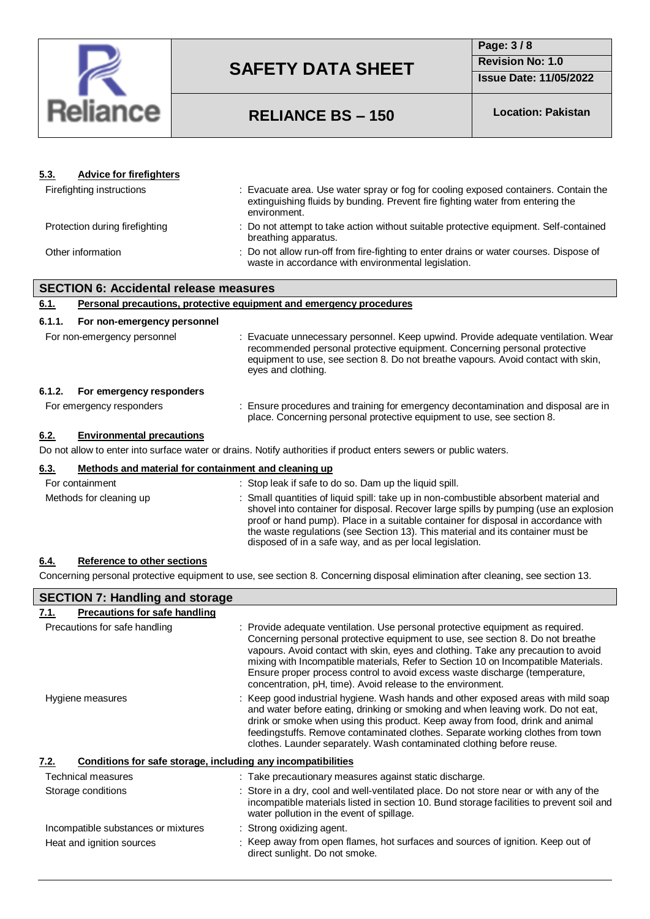

## **Page: 3 / 8 Revision No: 1.0**

**Issue Date: 11/05/2022**

# **RELIANCE BS – 150 Location: Pakistan**

| 5.3.   | <b>Advice for firefighters</b>                                      |                                                                                                                                                                                                                                                                                                                                                                                                                     |  |
|--------|---------------------------------------------------------------------|---------------------------------------------------------------------------------------------------------------------------------------------------------------------------------------------------------------------------------------------------------------------------------------------------------------------------------------------------------------------------------------------------------------------|--|
|        | Firefighting instructions                                           | : Evacuate area. Use water spray or fog for cooling exposed containers. Contain the<br>extinguishing fluids by bunding. Prevent fire fighting water from entering the<br>environment.                                                                                                                                                                                                                               |  |
|        | Protection during firefighting                                      | : Do not attempt to take action without suitable protective equipment. Self-contained<br>breathing apparatus.                                                                                                                                                                                                                                                                                                       |  |
|        | Other information                                                   | : Do not allow run-off from fire-fighting to enter drains or water courses. Dispose of<br>waste in accordance with environmental legislation.                                                                                                                                                                                                                                                                       |  |
|        | <b>SECTION 6: Accidental release measures</b>                       |                                                                                                                                                                                                                                                                                                                                                                                                                     |  |
| 6.1.   | Personal precautions, protective equipment and emergency procedures |                                                                                                                                                                                                                                                                                                                                                                                                                     |  |
| 6.1.1. | For non-emergency personnel                                         |                                                                                                                                                                                                                                                                                                                                                                                                                     |  |
|        | For non-emergency personnel                                         | : Evacuate unnecessary personnel. Keep upwind. Provide adequate ventilation. Wear<br>recommended personal protective equipment. Concerning personal protective<br>equipment to use, see section 8. Do not breathe vapours. Avoid contact with skin,<br>eyes and clothing.                                                                                                                                           |  |
| 6.1.2. | For emergency responders                                            |                                                                                                                                                                                                                                                                                                                                                                                                                     |  |
|        | For emergency responders                                            | : Ensure procedures and training for emergency decontamination and disposal are in<br>place. Concerning personal protective equipment to use, see section 8.                                                                                                                                                                                                                                                        |  |
| 6.2.   | <b>Environmental precautions</b>                                    |                                                                                                                                                                                                                                                                                                                                                                                                                     |  |
|        |                                                                     | Do not allow to enter into surface water or drains. Notify authorities if product enters sewers or public waters.                                                                                                                                                                                                                                                                                                   |  |
| 6.3.   | Methods and material for containment and cleaning up                |                                                                                                                                                                                                                                                                                                                                                                                                                     |  |
|        | For containment                                                     | : Stop leak if safe to do so. Dam up the liquid spill.                                                                                                                                                                                                                                                                                                                                                              |  |
|        | Methods for cleaning up                                             | : Small quantities of liquid spill: take up in non-combustible absorbent material and<br>shovel into container for disposal. Recover large spills by pumping (use an explosion<br>proof or hand pump). Place in a suitable container for disposal in accordance with<br>the waste regulations (see Section 13). This material and its container must be<br>disposed of in a safe way, and as per local legislation. |  |

#### **6.4. Reference to other sections**

Concerning personal protective equipment to use, see section 8. Concerning disposal elimination after cleaning, see section 13.

| <b>SECTION 7: Handling and storage</b>                               |                                                                                                                                                                                                                                                                                                                                                                                                                                                                                           |  |  |
|----------------------------------------------------------------------|-------------------------------------------------------------------------------------------------------------------------------------------------------------------------------------------------------------------------------------------------------------------------------------------------------------------------------------------------------------------------------------------------------------------------------------------------------------------------------------------|--|--|
| <b>Precautions for safe handling</b><br>7.1.                         |                                                                                                                                                                                                                                                                                                                                                                                                                                                                                           |  |  |
| Precautions for safe handling                                        | : Provide adequate ventilation. Use personal protective equipment as required.<br>Concerning personal protective equipment to use, see section 8. Do not breathe<br>vapours. Avoid contact with skin, eyes and clothing. Take any precaution to avoid<br>mixing with Incompatible materials, Refer to Section 10 on Incompatible Materials.<br>Ensure proper process control to avoid excess waste discharge (temperature,<br>concentration, pH, time). Avoid release to the environment. |  |  |
| Hygiene measures                                                     | : Keep good industrial hygiene. Wash hands and other exposed areas with mild soap<br>and water before eating, drinking or smoking and when leaving work. Do not eat,<br>drink or smoke when using this product. Keep away from food, drink and animal<br>feedingstuffs. Remove contaminated clothes. Separate working clothes from town<br>clothes. Launder separately. Wash contaminated clothing before reuse.                                                                          |  |  |
| Conditions for safe storage, including any incompatibilities<br>7.2. |                                                                                                                                                                                                                                                                                                                                                                                                                                                                                           |  |  |
| Technical measures                                                   | : Take precautionary measures against static discharge.                                                                                                                                                                                                                                                                                                                                                                                                                                   |  |  |
| Storage conditions                                                   | : Store in a dry, cool and well-ventilated place. Do not store near or with any of the<br>incompatible materials listed in section 10. Bund storage facilities to prevent soil and<br>water pollution in the event of spillage.                                                                                                                                                                                                                                                           |  |  |
| Incompatible substances or mixtures<br>Heat and ignition sources     | $\therefore$ Strong oxidizing agent.<br>: Keep away from open flames, hot surfaces and sources of ignition. Keep out of<br>direct sunlight. Do not smoke.                                                                                                                                                                                                                                                                                                                                 |  |  |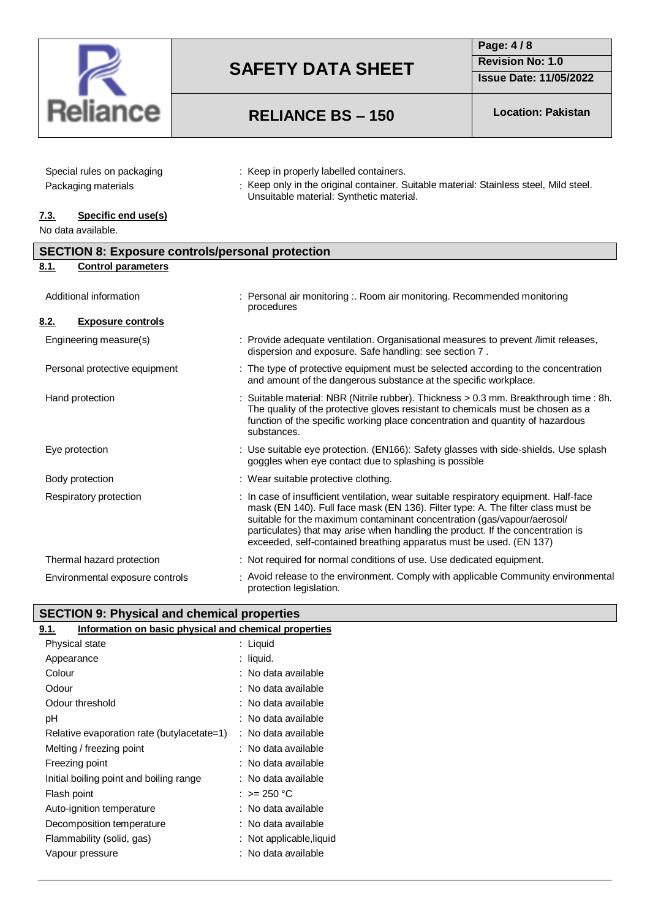

# **RELIANCE BS – 150 Location: Pakistan**

## **Page: 4 / 8 Revision No: 1.0 Issue Date: 11/05/2022**

| Special rules on packaging |  |
|----------------------------|--|
| Packaging materials        |  |

- : Keep in properly labelled containers.
- : Keep only in the original container. Suitable material: Stainless steel, Mild steel. Unsuitable material: Synthetic material.

### **7.3. Specific end use(s)**

No data available.

| <b>SECTION 8: Exposure controls/personal protection</b> |                                                                                                                                                                                                                                                                                                                                                                                                                |  |  |
|---------------------------------------------------------|----------------------------------------------------------------------------------------------------------------------------------------------------------------------------------------------------------------------------------------------------------------------------------------------------------------------------------------------------------------------------------------------------------------|--|--|
| 8.1.<br><b>Control parameters</b>                       |                                                                                                                                                                                                                                                                                                                                                                                                                |  |  |
| Additional information                                  | Personal air monitoring :. Room air monitoring. Recommended monitoring<br>procedures                                                                                                                                                                                                                                                                                                                           |  |  |
| 8.2.<br><b>Exposure controls</b>                        |                                                                                                                                                                                                                                                                                                                                                                                                                |  |  |
| Engineering measure(s)                                  | : Provide adequate ventilation. Organisational measures to prevent /limit releases,<br>dispersion and exposure. Safe handling: see section 7.                                                                                                                                                                                                                                                                  |  |  |
| Personal protective equipment                           | : The type of protective equipment must be selected according to the concentration<br>and amount of the dangerous substance at the specific workplace.                                                                                                                                                                                                                                                         |  |  |
| Hand protection                                         | : Suitable material: NBR (Nitrile rubber). Thickness > 0.3 mm. Breakthrough time : 8h.<br>The quality of the protective gloves resistant to chemicals must be chosen as a<br>function of the specific working place concentration and quantity of hazardous<br>substances.                                                                                                                                     |  |  |
| Eye protection                                          | : Use suitable eye protection. (EN166): Safety glasses with side-shields. Use splash<br>goggles when eye contact due to splashing is possible                                                                                                                                                                                                                                                                  |  |  |
| Body protection                                         | : Wear suitable protective clothing.                                                                                                                                                                                                                                                                                                                                                                           |  |  |
| Respiratory protection                                  | : In case of insufficient ventilation, wear suitable respiratory equipment. Half-face<br>mask (EN 140). Full face mask (EN 136). Filter type: A. The filter class must be<br>suitable for the maximum contaminant concentration (gas/vapour/aerosol/<br>particulates) that may arise when handling the product. If the concentration is<br>exceeded, self-contained breathing apparatus must be used. (EN 137) |  |  |
| Thermal hazard protection                               | : Not required for normal conditions of use. Use dedicated equipment.                                                                                                                                                                                                                                                                                                                                          |  |  |
| Environmental exposure controls                         | : Avoid release to the environment. Comply with applicable Community environmental<br>protection legislation.                                                                                                                                                                                                                                                                                                  |  |  |

| SECTION 9: Physical and chemical properties |
|---------------------------------------------|
|                                             |

| Information on basic physical and chemical properties<br>9.1. |                          |
|---------------------------------------------------------------|--------------------------|
| Physical state                                                | : Liquid                 |
| Appearance                                                    | : liquid.                |
| Colour                                                        | : No data available      |
| Odour                                                         | : No data available      |
| Odour threshold                                               | : No data available      |
| рH                                                            | : No data available      |
| Relative evaporation rate (butylacetate=1)                    | : No data available      |
| Melting / freezing point                                      | : No data available      |
| Freezing point                                                | : No data available      |
| Initial boiling point and boiling range                       | : No data available      |
| Flash point                                                   | : >= 250 °C              |
| Auto-ignition temperature                                     | : No data available      |
| Decomposition temperature                                     | : No data available      |
| Flammability (solid, gas)                                     | : Not applicable, liquid |
| Vapour pressure                                               | : No data available      |
|                                                               |                          |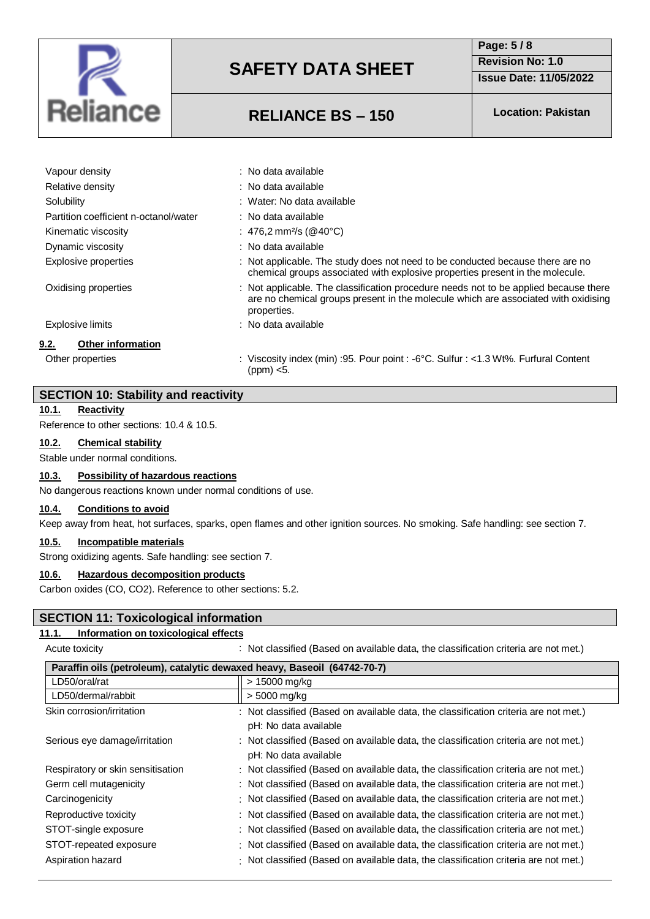

### **Page: 5 / 8 Revision No: 1.0**

**Issue Date: 11/05/2022**

# **RELIANCE BS – 150 Location: Pakistan**

| Vapour density                        | : No data available                                                                                                                                                                       |
|---------------------------------------|-------------------------------------------------------------------------------------------------------------------------------------------------------------------------------------------|
| Relative density                      | : No data available                                                                                                                                                                       |
| Solubility                            | : Water: No data available                                                                                                                                                                |
| Partition coefficient n-octanol/water | : No data available                                                                                                                                                                       |
| Kinematic viscosity                   | : 476,2 mm <sup>2</sup> /s (@40°C)                                                                                                                                                        |
| Dynamic viscosity                     | : No data available                                                                                                                                                                       |
| Explosive properties                  | : Not applicable. The study does not need to be conducted because there are no<br>chemical groups associated with explosive properties present in the molecule.                           |
| Oxidising properties                  | : Not applicable. The classification procedure needs not to be applied because there<br>are no chemical groups present in the molecule which are associated with oxidising<br>properties. |
| <b>Explosive limits</b>               | : No data available                                                                                                                                                                       |
| 9.2.<br>Other information             |                                                                                                                                                                                           |
| Other properties                      | : Viscosity index (min) : 95. Pour point : -6°C. Sulfur : <1.3 Wt%. Furfural Content<br>(ppm) <5.                                                                                         |
|                                       |                                                                                                                                                                                           |

## **SECTION 10: Stability and reactivity**

#### **10.1. Reactivity**

Reference to other sections: 10.4 & 10.5.

#### **10.2. Chemical stability**

Stable under normal conditions.

#### **10.3. Possibility of hazardous reactions**

No dangerous reactions known under normal conditions of use.

#### **10.4. Conditions to avoid**

Keep away from heat, hot surfaces, sparks, open flames and other ignition sources. No smoking. Safe handling: see section 7.

#### **10.5. Incompatible materials**

Strong oxidizing agents. Safe handling: see section 7.

#### **10.6. Hazardous decomposition products**

Carbon oxides (CO, CO2). Reference to other sections: 5.2.

#### **SECTION 11: Toxicological information**

#### **11.1. Information on toxicological effects**

Acute toxicity **Actural Constructs Constructs**: Not classified (Based on available data, the classification criteria are not met.)

| Paraffin oils (petroleum), catalytic dewaxed heavy, Baseoil (64742-70-7) |                                                                                                               |  |
|--------------------------------------------------------------------------|---------------------------------------------------------------------------------------------------------------|--|
| LD50/oral/rat                                                            | > 15000 mg/kg                                                                                                 |  |
| LD50/dermal/rabbit                                                       | > 5000 mg/kg                                                                                                  |  |
| Skin corrosion/irritation                                                | : Not classified (Based on available data, the classification criteria are not met.)<br>pH: No data available |  |
| Serious eye damage/irritation                                            | : Not classified (Based on available data, the classification criteria are not met.)<br>pH: No data available |  |
| Respiratory or skin sensitisation                                        | : Not classified (Based on available data, the classification criteria are not met.)                          |  |
| Germ cell mutagenicity                                                   | : Not classified (Based on available data, the classification criteria are not met.)                          |  |
| Carcinogenicity                                                          | : Not classified (Based on available data, the classification criteria are not met.)                          |  |
| Reproductive toxicity                                                    | : Not classified (Based on available data, the classification criteria are not met.)                          |  |
| STOT-single exposure                                                     | : Not classified (Based on available data, the classification criteria are not met.)                          |  |
| STOT-repeated exposure                                                   | : Not classified (Based on available data, the classification criteria are not met.)                          |  |
| Aspiration hazard                                                        | : Not classified (Based on available data, the classification criteria are not met.)                          |  |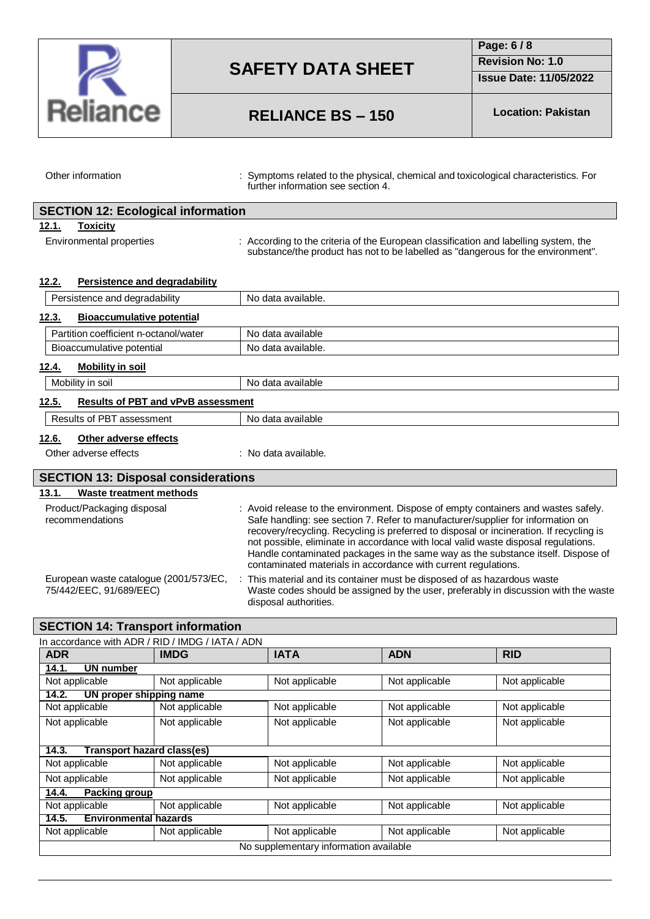

**Page: 6 / 8 Revision No: 1.0**

**Issue Date: 11/05/2022**

# **RELIANCE BS – 150 Location: Pakistan**

L

Other information **interpretation** : Symptoms related to the physical, chemical and toxicological characteristics. For further information see section 4.

| <b>SECTION 12: Ecological information</b> |                          |                                                                                                                                                                          |
|-------------------------------------------|--------------------------|--------------------------------------------------------------------------------------------------------------------------------------------------------------------------|
| 12.1.                                     | <b>Toxicity</b>          |                                                                                                                                                                          |
|                                           | Environmental properties | : According to the criteria of the European classification and labelling system, the<br>substance/the product has not to be labelled as "dangerous for the environment". |

| 12.2. | Persistence and degradability |                    |
|-------|-------------------------------|--------------------|
|       | Persistence and degradability | Aldelieve eteh oll |

| Persistence and degradability                      | iyo data avallable.  |
|----------------------------------------------------|----------------------|
| <b>Bioaccumulative potential</b><br>12.3.          |                      |
| Partition coefficient n-octanol/water              | No data available    |
| Bioaccumulative potential                          | No data available.   |
| <b>Mobility in soil</b><br>12.4.                   |                      |
| Mobility in soil                                   | No data available    |
| <b>Results of PBT and vPvB assessment</b><br>12.5. |                      |
| Results of PBT assessment                          | No data available    |
| Other adverse effects<br>12.6.                     |                      |
| Other adverse effects                              | : No data available. |
| <b>SECTION 13: Disposal considerations</b>         |                      |
| 13.1.<br>Waste treatment methods                   |                      |

| Product/Packaging disposal<br>recommendations                     | : Avoid release to the environment. Dispose of empty containers and wastes safely.<br>Safe handling: see section 7. Refer to manufacturer/supplier for information on<br>recovery/recycling. Recycling is preferred to disposal or incineration. If recycling is<br>not possible, eliminate in accordance with local valid waste disposal regulations.<br>Handle contaminated packages in the same way as the substance itself. Dispose of<br>contaminated materials in accordance with current regulations. |
|-------------------------------------------------------------------|--------------------------------------------------------------------------------------------------------------------------------------------------------------------------------------------------------------------------------------------------------------------------------------------------------------------------------------------------------------------------------------------------------------------------------------------------------------------------------------------------------------|
| European waste catalogue (2001/573/EC,<br>75/442/EEC, 91/689/EEC) | This material and its container must be disposed of as hazardous waste<br>Waste codes should be assigned by the user, preferably in discussion with the waste                                                                                                                                                                                                                                                                                                                                                |

disposal authorities.

## **SECTION 14: Transport information**

| In accordance with ADR / RID / IMDG / IATA / ADN |                         |                |                |                |
|--------------------------------------------------|-------------------------|----------------|----------------|----------------|
| <b>ADR</b>                                       | <b>IMDG</b>             | <b>IATA</b>    | <b>ADN</b>     | <b>RID</b>     |
| 14.1.<br>UN number                               |                         |                |                |                |
| Not applicable                                   | Not applicable          | Not applicable | Not applicable | Not applicable |
| 14.2.                                            | UN proper shipping name |                |                |                |
| Not applicable                                   | Not applicable          | Not applicable | Not applicable | Not applicable |
| Not applicable                                   | Not applicable          | Not applicable | Not applicable | Not applicable |
| Transport hazard class(es)<br>14.3.              |                         |                |                |                |
| Not applicable                                   | Not applicable          | Not applicable | Not applicable | Not applicable |
| Not applicable                                   | Not applicable          | Not applicable | Not applicable | Not applicable |
| <b>Packing group</b><br>14.4.                    |                         |                |                |                |
| Not applicable                                   | Not applicable          | Not applicable | Not applicable | Not applicable |
| <b>Environmental hazards</b><br>14.5.            |                         |                |                |                |
| Not applicable                                   | Not applicable          | Not applicable | Not applicable | Not applicable |
| No supplementary information available           |                         |                |                |                |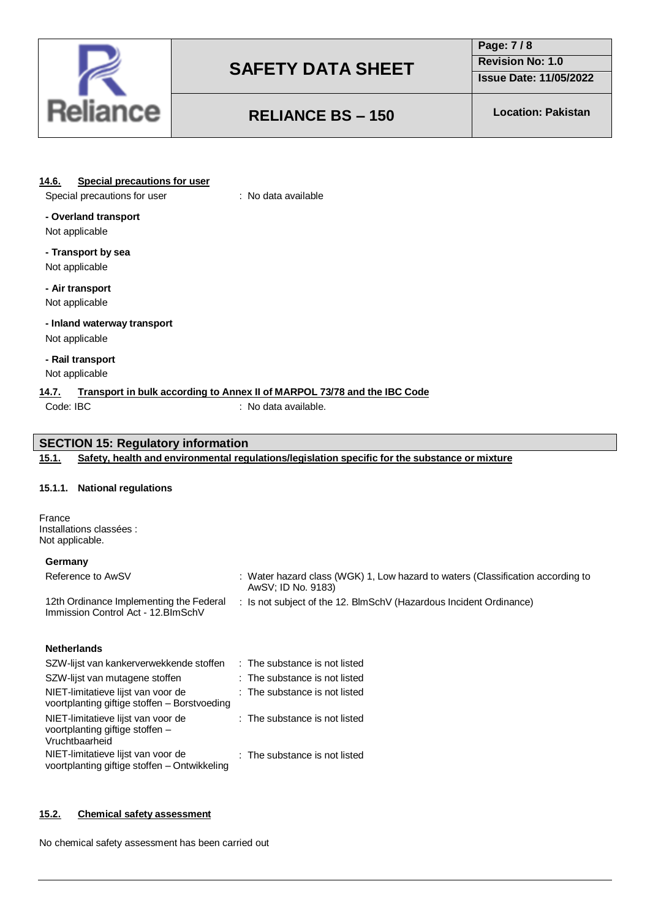

## **Page: 7 / 8 Revision No: 1.0**

**Issue Date: 11/05/2022**

# **RELIANCE BS – 150 Location: Pakistan**

#### **14.6. Special precautions for user**

Special precautions for user : No data available

### **- Overland transport**

Not applicable

# **- Transport by sea**

Not applicable

### **- Air transport**

Not applicable

# **- Inland waterway transport**

Not applicable

#### **- Rail transport** Not applicable

### **14.7. Transport in bulk according to Annex II of MARPOL 73/78 and the IBC Code**

Code: IBC : No data available.

### **SECTION 15: Regulatory information**

#### **15.1. Safety, health and environmental regulations/legislation specific for the substance or mixture**

#### **15.1.1. National regulations**

France Installations classées : Not applicable.

#### **Germany**

| Reference to AwSV                                                              | $\colon$ Water hazard class (WGK) 1, Low hazard to waters (Classification according to<br>AwSV: ID No. 9183) |
|--------------------------------------------------------------------------------|--------------------------------------------------------------------------------------------------------------|
| 12th Ordinance Implementing the Federal<br>Immission Control Act - 12. BlmSchV | . Is not subject of the 12. BlmSchV (Hazardous Incident Ordinance)                                           |

#### **Netherlands**

| SZW-lijst van kankerverwekkende stoffen                                                 | : The substance is not listed |
|-----------------------------------------------------------------------------------------|-------------------------------|
| SZW-lijst van mutagene stoffen                                                          | : The substance is not listed |
| NIET-limitatieve lijst van voor de<br>voortplanting giftige stoffen - Borstvoeding      | : The substance is not listed |
| NIET-limitatieve lijst van voor de<br>voortplanting giftige stoffen -<br>Vruchtbaarheid | : The substance is not listed |
| NIET-limitatieve lijst van voor de<br>voortplanting giftige stoffen - Ontwikkeling      | : The substance is not listed |

#### **15.2. Chemical safety assessment**

No chemical safety assessment has been carried out